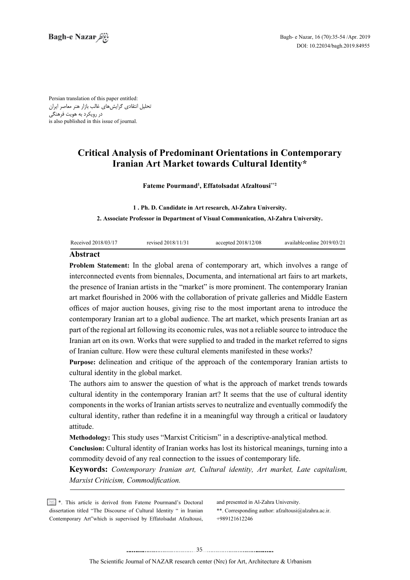Persian translation of this paper entitled: تحلیل انتقادی گرایشهای غالب بازار هنر معاصر ایران در رویکرد به هویت فرهنگی is also published in this issue of journal.

# **Critical Analysis of Predominant Orientations in Contemporary Iranian Art Market towards Cultural Identity\***

### Fateme Pourmand<sup>1</sup>, Effatolsadat Afzaltousi\*\*<sup>2</sup>

1. Ph. D. Candidate in Art research, Al-Zahra University. **2. Associate Professor in Department of Visual Communication, Al-Zahra University.** 

| Received 2018/03/17 | revised 2018/11/31 | accepted $2018/12/08$ | available online 2019/03/21 |
|---------------------|--------------------|-----------------------|-----------------------------|
|                     |                    |                       |                             |

# **Abstract**

Problem Statement: In the global arena of contemporary art, which involves a range of interconnected events from biennales. Documenta, and international art fairs to art markets. the presence of Iranian artists in the "market" is more prominent. The contemporary Iranian art market flourished in 2006 with the collaboration of private galleries and Middle Eastern offices of major auction houses, giving rise to the most important arena to introduce the contemporary Iranian art to a global audience. The art market, which presents Iranian art as part of the regional art following its economic rules, was not a reliable source to introduce the Iranian art on its own. Works that were supplied to and traded in the market referred to signs of Iranian culture. How were these cultural elements manifested in these works?

Purpose: delineation and critique of the approach of the contemporary Iranian artists to cultural identity in the global market.

The authors aim to answer the question of what is the approach of market trends towards cultural identity in the contemporary Iranian art? It seems that the use of cultural identity components in the works of Iranian artists serves to neutralize and eventually commodify the cultural identity, rather than redefine it in a meaningful way through a critical or laudatory .attitude

**Methodology:** This study uses "Marxist Criticism" in a descriptive-analytical method.

Conclusion: Cultural identity of Iranian works has lost its historical meanings, turning into a commodity devoid of any real connection to the issues of contemporary life.

**Keywords:** Contemporary Iranian art, Cultural identity, Art market, Late capitalism, *Marxist Criticism, Commodification.* 

 $\mathbb{R}^*$ . This article is derived from Fateme Pourmand's Doctoral dissertation titled "The Discourse of Cultural Identity " in Iranian Contemporary Art"which is supervised by Effatolsadat Afzaltousi,

and presented in Al-Zahra University.

\*\*. Corresponding author:  $afzaltousi@alzahra.ac.in.$ +989121612246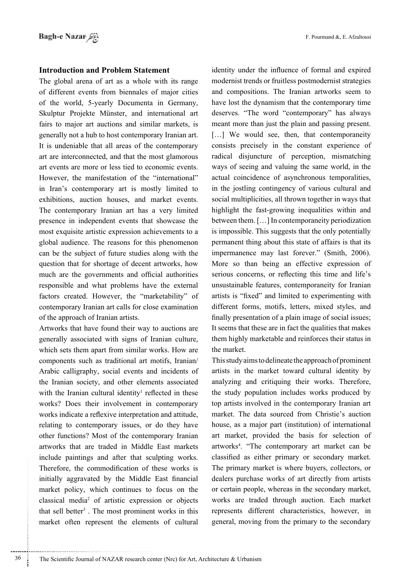## **Introduction and Problem Statement**

The global arena of art as a whole with its range of different events from biennales of major cities of the world, 5-yearly Documenta in Germany, Skulptur Projekte Münster, and international art fairs to major art auctions and similar markets, is generally not a hub to host contemporary Iranian art. It is undeniable that all areas of the contemporary art are interconnected, and that the most glamorous art events are more or less tied to economic events. However, the manifestation of the "international" in Iran's contemporary art is mostly limited to exhibitions, auction houses, and market events. The contemporary Iranian art has a very limited presence in independent events that showcase the most exquisite artistic expression achievements to a global audience. The reasons for this phenomenon can be the subject of future studies along with the question that for shortage of decent artworks, how much are the governments and official authorities responsible and what problems have the external factors created. However, the "marketability" of contemporary Iranian art calls for close examination of the approach of Iranian artists.

Artworks that have found their way to auctions are generally associated with signs of Iranian culture, which sets them apart from similar works. How are components such as traditional art motifs, Iranian/ Arabic calligraphy, social events and incidents of the Iranian society, and other elements associated with the Iranian cultural identity<sup>1</sup> reflected in these works? Does their involvement in contemporary works indicate a reflexive interpretation and attitude, relating to contemporary issues, or do they have other functions? Most of the contemporary Iranian artworks that are traded in Middle East markets include paintings and after that sculpting works. Therefore, the commodification of these works is initially aggravated by the Middle East financial market policy, which continues to focus on the classical media<sup>2</sup> of artistic expression or objects that sell better<sup>3</sup>. The most prominent works in this market often represent the elements of cultural identity under the influence of formal and expired modernist trends or fruitless postmodernist strategies and compositions. The Iranian artworks seem to have lost the dynamism that the contemporary time deserves. "The word "contemporary" has always meant more than just the plain and passing present.  $\dots$ ] We would see, then, that contemporaneity consists precisely in the constant experience of radical disjuncture of perception, mismatching ways of seeing and valuing the same world, in the actual coincidence of asynchronous temporalities, in the jostling contingency of various cultural and social multiplicities, all thrown together in ways that highlight the fast-growing inequalities within and between them.  $[\dots]$  In contemporaneity periodization is impossible. This suggests that the only potentially permanent thing about this state of affairs is that its impermanence may last forever." (Smith, 2006). More so than being an effective expression of serious concerns, or reflecting this time and life's unsustainable features, contemporaneity for Iranian artists is "fixed" and limited to experimenting with different forms, motifs, letters, mixed styles, and finally presentation of a plain image of social issues; It seems that these are in fact the qualities that makes them highly marketable and reinforces their status in the market.

This study aims to delineate the approach of prominent artists in the market toward cultural identity by analyzing and critiquing their works. Therefore, the study population includes works produced by top artists involved in the contemporary Iranian art market. The data sourced from Christie's auction house, as a major part (institution) of international art market, provided the basis for selection of artworks<sup>4</sup>. "The contemporary art market can be classified as either primary or secondary market. The primary market is where buyers, collectors, or dealers purchase works of art directly from artists or certain people, whereas in the secondary market, works are traded through auction. Each market represents different characteristics, however, in general, moving from the primary to the secondary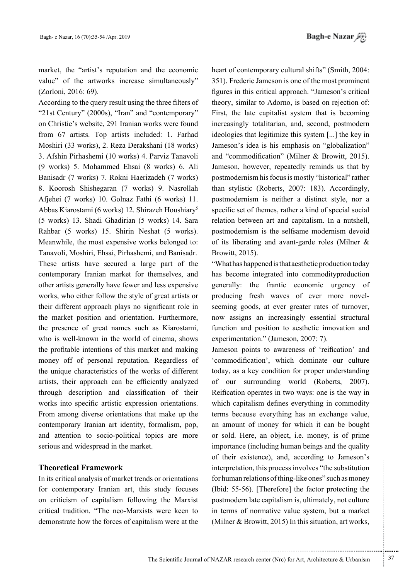market, the "artist's reputation and the economic value" of the artworks increase simultaneously"  $(Zorloni, 2016: 69)$ .

According to the query result using the three filters of " $21st$  Century" (2000s), "Iran" and "contemporary" on Christie's website, 291 Iranian works were found from 67 artists. Top artists included: 1. Farhad Moshiri (33 works), 2. Reza Derakshani (18 works) 3. Afshin Pirhashemi (10 works) 4. Parviz Tanavoli (9 works) 5. Mohammed Ehsai (8 works) 6. Ali Banisadr (7 works) 7. Rokni Haerizadeh (7 works) 8. Koorosh Shishegaran (7 works) 9. Nasrollah Afjehei (7 works) 10. Golnaz Fathi (6 works) 11. Abbas Kiarostami (6 works) 12. Shirazeh Houshiary<sup>5</sup> (5 works) 13. Shadi Ghadirian (5 works) 14. Sara Rahbar (5 works) 15. Shirin Neshat (5 works). Meanwhile, the most expensive works belonged to: Tanavoli, Moshiri, Ehsai, Pirhashemi, and Banisadr. These artists have secured a large part of the contemporary Iranian market for themselves, and other artists generally have fewer and less expensive works, who either follow the style of great artists or their different approach plays no significant role in the market position and orientation. Furthermore, the presence of great names such as Kiarostami, who is well-known in the world of cinema, shows the profitable intentions of this market and making money off of personal reputation. Regardless of the unique characteristics of the works of different artists, their approach can be efficiently analyzed through description and classification of their works into specific artistic expression orientations. From among diverse orientations that make up the contemporary Iranian art identity, formalism, pop, and attention to socio-political topics are more serious and widespread in the market.

## **Framework Theoretical**

In its critical analysis of market trends or orientations for contemporary Iranian art, this study focuses on criticism of capitalism following the Marxist critical tradition. "The neo-Marxists were keen to demonstrate how the forces of capitalism were at the

heart of contemporary cultural shifts" (Smith, 2004: 351). Frederic Jameson is one of the most prominent figures in this critical approach. "Jameson's critical theory, similar to Adorno, is based on rejection of: First, the late capitalist system that is becoming increasingly totalitarian, and, second, postmodern ideologies that legitimize this system  $\left[ \ldots \right]$  the key in Jameson's idea is his emphasis on "globalization" and "commodification" (Milner  $\&$  Browitt, 2015). Jameson, however, repeatedly reminds us that by postmodernism his focus is mostly "historical" rather than stylistic (Roberts, 2007: 183). Accordingly, postmodernism is neither a distinct style, nor a specific set of themes, rather a kind of special social relation between art and capitalism. In a nutshell, postmodernism is the selfsame modernism devoid of its liberating and avant-garde roles (Milner  $\&$ Browitt, 2015).

"What has happened is that aesthetic production today has become integrated into commodityproduction generally: the frantic economic urgency of seeming goods, at ever greater rates of turnover, producing fresh waves of ever more novelnow assigns an increasingly essential structural function and position to aesthetic innovation and experimentation." (Jameson, 2007: 7).

Jameson points to awareness of 'reification' and 'commodification', which dominate our culture today, as a key condition for proper understanding of our surrounding world (Roberts, 2007). Reification operates in two ways: one is the way in which capitalism defines everything in commodity terms because everything has an exchange value, an amount of money for which it can be bought or sold. Here, an object, i.e. money, is of prime importance (including human beings and the quality of their existence), and, according to Jameson's interpretation, this process involves "the substitution for human relations of thing-like ones" such as money (Ibid:  $55-56$ ). [Therefore] the factor protecting the postmodern late capitalism is, ultimately, not culture in terms of normative value system, but a market (Milner & Browitt, 2015) In this situation, art works,

.......... ....... ........ ........... ...... ....... ........ .......... ...........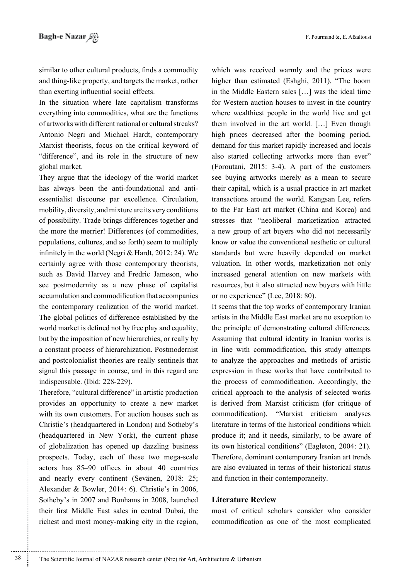similar to other cultural products, finds a commodity and thing-like property, and targets the market, rather than exerting influential social effects.

In the situation where late capitalism transforms everything into commodities, what are the functions of artworks with different national or cultural streaks? Antonio Negri and Michael Hardt, contemporary Marxist theorists, focus on the critical keyword of "difference", and its role in the structure of new global market.

They argue that the ideology of the world market has always been the anti-foundational and antiessentialist discourse par excellence. Circulation, mobility, diversity, and mixture are its very conditions of possibility. Trade brings differences together and the more the merrier! Differences (of commodities, populations, cultures, and so forth) seem to multiply infinitely in the world (Negri & Hardt, 2012; 24). We certainly agree with those contemporary theorists, such as David Harvey and Fredric Jameson, who see postmodernity as a new phase of capitalist accumulation and commodification that accompanies the contemporary realization of the world market. The global politics of difference established by the world market is defined not by free play and equality. but by the imposition of new hierarchies, or really by a constant process of hierarchization. Postmodernist and postcolonialist theories are really sentinels that signal this passage in course, and in this regard are indispensable. (Ibid: 228-229).

Therefore, "cultural difference" in artistic production provides an opportunity to create a new market with its own customers. For auction houses such as Christie's (headquartered in London) and Sotheby's (headquartered in New York), the current phase of globalization has opened up dazzling business prospects. Today, each of these two mega-scale actors has 85–90 offices in about 40 countries and nearly every continent (Sevänen, 2018: 25; Alexander & Bowler, 2014: 6). Christie's in 2006, Sotheby's in 2007 and Bonhams in 2008, launched their first Middle East sales in central Dubai, the richest and most money-making city in the region,

38

which was received warmly and the prices were higher than estimated (Eshghi, 2011). "The boom in the Middle Eastern sales [...] was the ideal time for Western auction houses to invest in the country where wealthiest people in the world live and get them involved in the art world. [...] Even though high prices decreased after the booming period, demand for this market rapidly increased and locals also started collecting artworks more than ever" (Foroutani, 2015: 3-4). A part of the customers see buying artworks merely as a mean to secure their capital, which is a usual practice in art market transactions around the world. Kangsan Lee, refers to the Far East art market (China and Korea) and stresses that "neoliberal marketization attracted a new group of art buyers who did not necessarily know or value the conventional aesthetic or cultural standards but were heavily depended on market valuation. In other words, marketization not only increased general attention on new markets with resources, but it also attracted new buyers with little or no experience" (Lee, 2018: 80).

It seems that the top works of contemporary Iranian artists in the Middle East market are no exception to the principle of demonstrating cultural differences. Assuming that cultural identity in Iranian works is in line with commodification, this study attempts to analyze the approaches and methods of artistic expression in these works that have contributed to the process of commodification. Accordingly, the critical approach to the analysis of selected works is derived from Marxist criticism (for critique of commodification). "Marxist criticism analyses literature in terms of the historical conditions which produce it; and it needs, similarly, to be aware of its own historical conditions" (Eagleton, 2004: 21). Therefore, dominant contemporary Iranian art trends are also evaluated in terms of their historical status and function in their contemporaneity.

### **Literature Review**

most of critical scholars consider who consider commodification as one of the most complicated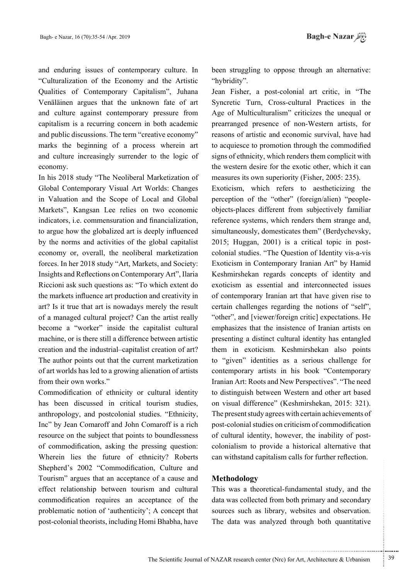and enduring issues of contemporary culture. In "Culturalization of the Economy and the Artistic Qualities of Contemporary Capitalism", Juhana Venäläinen argues that the unknown fate of art and culture against contemporary pressure from capitalism is a recurring concern in both academic and public discussions. The term "creative economy" marks the beginning of a process wherein art and culture increasingly surrender to the logic of economy.

In his 2018 study "The Neoliberal Marketization of Global Contemporary Visual Art Worlds: Changes in Valuation and the Scope of Local and Global Markets", Kangsan Lee relies on two economic indicators, *i.e.* commensuration and financialization, to argue how the globalized art is deeply influenced by the norms and activities of the global capitalist economy or, overall, the neoliberal marketization forces. In her 2018 study "Art, Markets, and Society: Insights and Reflections on Contemporary Art", Ilaria Riccioni ask such questions as: "To which extent do the markets influence art production and creativity in art? Is it true that art is nowadays merely the result of a managed cultural project? Can the artist really become a "worker" inside the capitalist cultural machine, or is there still a difference between artistic creation and the industrial-capitalist creation of art? The author points out that the current marketization of art worlds has led to a growing alienation of artists from their own works."

Commodification of ethnicity or cultural identity has been discussed in critical tourism studies, anthropology, and postcolonial studies. "Ethnicity, Inc" by Jean Comaroff and John Comaroff is a rich resource on the subject that points to boundlessness of commodification, asking the pressing question: Wherein lies the future of ethnicity? Roberts Shepherd's 2002 "Commodification, Culture and Tourism" argues that an acceptance of a cause and effect relationship between tourism and cultural commodification requires an acceptance of the problematic notion of 'authenticity'; A concept that post-colonial theorists, including Homi Bhabha, have been struggling to oppose through an alternative: "hybridity".

Jean Fisher, a post-colonial art critic, in "The Syncretic Turn, Cross-cultural Practices in the Age of Multiculturalism" criticizes the unequal or prearranged presence of non-Western artists, for reasons of artistic and economic survival, have had to acquiesce to promotion through the commodified signs of ethnicity, which renders them complicit with the western desire for the exotic other, which it can measures its own superiority (Fisher, 2005: 235).

Exoticism, which refers to aestheticizing the perception of the "other" (foreign/alien) "peopleobjects-places different from subjectively familiar reference systems, which renders them strange and, simultaneously, domesticates them" (Berdychevsky, 2015; Huggan, 2001) is a critical topic in postcolonial studies. "The Ouestion of Identity vis-a-vis Exoticism in Contemporary Iranian Art" by Hamid Keshmirshekan regards concepts of identity and exoticism as essential and interconnected issues of contemporary Iranian art that have given rise to certain challenges regarding the notions of "self", "other", and [viewer/foreign critic] expectations. He emphasizes that the insistence of Iranian artists on presenting a distinct cultural identity has entangled them in exoticism. Keshmirshekan also points to "given" identities as a serious challenge for contemporary artists in his book "Contemporary Iranian Art: Roots and New Perspectives". "The need to distinguish between Western and other art based on visual difference" (Keshmirshekan, 2015: 321). The present study agrees with certain achievements of post-colonial studies on criticism of commodification of cultural identity, however, the inability of postcolonialism to provide a historical alternative that can withstand capitalism calls for further reflection.

### Methodology

This was a theoretical-fundamental study, and the data was collected from both primary and secondary sources such as library, websites and observation. The data was analyzed through both quantitative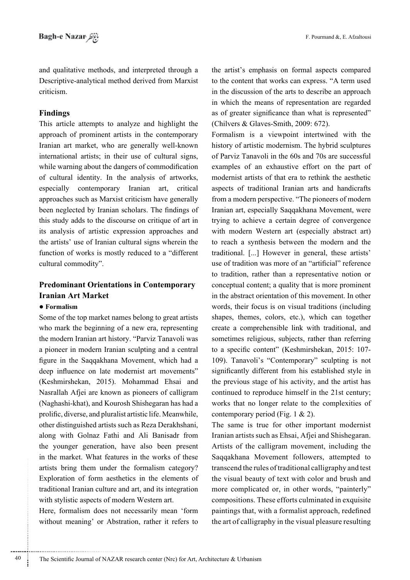and qualitative methods, and interpreted through a Descriptive-analytical method derived from Marxist criticism

## **Findings**

This article attempts to analyze and highlight the approach of prominent artists in the contemporary Iranian art market, who are generally well-known international artists; in their use of cultural signs, while warning about the dangers of commodification of cultural identity. In the analysis of artworks, especially contemporary Iranian art, critical approaches such as Marxist criticism have generally been neglected by Iranian scholars. The findings of this study adds to the discourse on critique of art in its analysis of artistic expression approaches and the artists' use of Iranian cultural signs wherein the function of works is mostly reduced to a "different" cultural commodity".

# **Predominant Orientations in Contemporary Iranian Art Market**

## • Formalism

Some of the top market names belong to great artists who mark the beginning of a new era, representing the modern Iranian art history. "Parviz Tanavoli was a pioneer in modern Iranian sculpting and a central figure in the Saqqakhana Movement, which had a deep influence on late modernist art movements" (Keshmirshekan, 2015). Mohammad Ehsai and Nasrallah Afjei are known as pioneers of calligram (Naghashi-khat), and Kourosh Shishegaran has had a prolific, diverse, and pluralist artistic life. Meanwhile, other distinguished artists such as Reza Derakhshani, along with Golnaz Fathi and Ali Banisadr from the younger generation, have also been present in the market. What features in the works of these artists bring them under the formalism category? Exploration of form aesthetics in the elements of traditional Iranian culture and art, and its integration with stylistic aspects of modern Western art.

Here, formalism does not necessarily mean 'form without meaning' or Abstration, rather it refers to the artist's emphasis on formal aspects compared to the content that works can express. "A term used in the discussion of the arts to describe an approach in which the means of representation are regarded as of greater significance than what is represented" (Chilvers & Glaves-Smith, 2009: 672).

Formalism is a viewpoint intertwined with the history of artistic modernism. The hybrid sculptures of Parviz Tanavoli in the 60s and 70s are successful examples of an exhaustive effort on the part of modernist artists of that era to rethink the aesthetic aspects of traditional Iranian arts and handicrafts from a modern perspective. "The pioneers of modern Iranian art, especially Saqqakhana Movement, were trying to achieve a certain degree of convergence with modern Western art (especially abstract art) to reach a synthesis between the modern and the traditional. [...] However in general, these artists' use of tradition was more of an "artificial" reference to tradition, rather than a representative notion or conceptual content; a quality that is more prominent in the abstract orientation of this movement. In other words, their focus is on visual traditions (including shapes, themes, colors, etc.), which can together create a comprehensible link with traditional, and sometimes religious, subjects, rather than referring to a specific content" (Keshmirshekan, 2015: 107-109). Tanavoli's "Contemporary" sculpting is not significantly different from his established style in the previous stage of his activity, and the artist has continued to reproduce himself in the 21st century; works that no longer relate to the complexities of contemporary period (Fig. 1  $& 2$ ).

The same is true for other important modernist Iranian artists such as Ehsai, Afjei and Shishegaran. Artists of the calligram movement, including the Saqqakhana Movement followers, attempted to transcend the rules of traditional calligraphy and test the visual beauty of text with color and brush and more complicated or, in other words, "painterly" compositions. These efforts culminated in exquisite paintings that, with a formalist approach, redefined the art of calligraphy in the visual pleasure resulting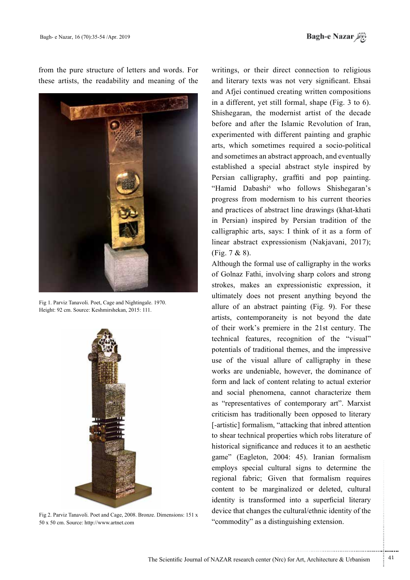from the pure structure of letters and words. For these artists, the readability and meaning of the



Fig 1. Parviz Tanavoli. Poet, Cage and Nightingale. 1970. Height: 92 cm. Source: Keshmirshekan, 2015: 111.



Fig 2. Parviz Tanavoli. Poet and Cage, 2008. Bronze. Dimensions: 151 x 50 x 50 cm. Source: http://www.artnet.com

writings, or their direct connection to religious and literary texts was not very significant. Ehsai and Afjei continued creating written compositions in a different, yet still formal, shape  $(Fig. 3 to 6)$ . Shishegaran, the modernist artist of the decade before and after the Islamic Revolution of Iran, experimented with different painting and graphic arts, which sometimes required a socio-political and sometimes an abstract approach, and eventually established a special abstract style inspired by Persian calligraphy, graffiti and pop painting. "Hamid Dabashi<sup>6</sup> who follows Shishegaran's progress from modernism to his current theories and practices of abstract line drawings (khat-khati in Persian) inspired by Persian tradition of the calligraphic arts, says: I think of it as a form of linear abstract expressionism (Nakjavani, 2017);  $(Fi_{2}, 7 & 8)$ .

Although the formal use of calligraphy in the works of Golnaz Fathi, involving sharp colors and strong strokes, makes an expressionistic expression, it ultimately does not present anything beyond the allure of an abstract painting  $(Fig. 9)$ . For these artists, contemporaneity is not beyond the date of their work's premiere in the 21st century. The technical features, recognition of the "visual" potentials of traditional themes, and the impressive use of the visual allure of calligraphy in these works are undeniable, however, the dominance of form and lack of content relating to actual exterior and social phenomena, cannot characterize them as "representatives of contemporary art". Marxist criticism has traditionally been opposed to literary [-artistic] formalism, "attacking that inbred attention to shear technical properties which robs literature of historical significance and reduces it to an aesthetic game" (Eagleton, 2004: 45). Iranian formalism employs special cultural signs to determine the regional fabric; Given that formalism requires content to be marginalized or deleted, cultural identity is transformed into a superficial literary device that changes the cultural/ethnic identity of the " commodity" as a distinguishing extension.

...........................................................

.......... ....... ........ ........... ...... ....... ........ .......... ...........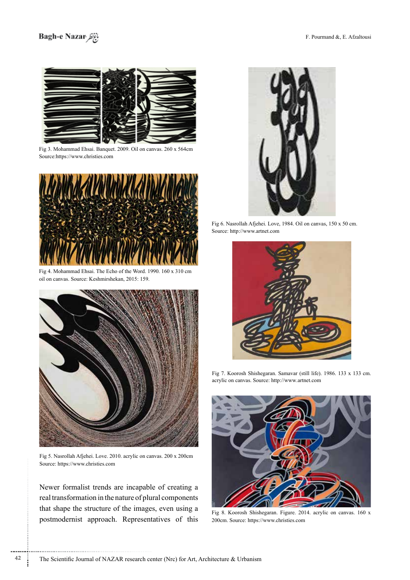# Bagh-e Nazar



Fig 3. Mohammad Ehsai. Banquet. 2009. Oil on canvas. 260 x 564cm Source:https://www.christies.com



Fig 4. Mohammad Ehsai. The Echo of the Word. 1990.  $160 \times 310$  cm oil on canvas. Source: Keshmirshekan, 2015: 159.



Fig 5. Nasrollah Afjehei. Love. 2010. acrylic on canvas. 200 x 200cm Source: https://www.christies.com

Newer formalist trends are incapable of creating a real transformation in the nature of plural components that shape the structure of the images, even using a postmodernist approach. Representatives of this



Fig 6. Nasrollah Afjehei. Love, 1984. Oil on canvas, 150 x 50 cm. Source: http://www.artnet.com



Fig 7. Koorosh Shishegaran. Samavar (still life). 1986. 133 x 133 cm. acrylic on canvas. Source: http://www.artnet.com



Fig 8. Koorosh Shishegaran. Figure. 2014. acrylic on canvas. 160 x 200cm. Source: https://www.christies.com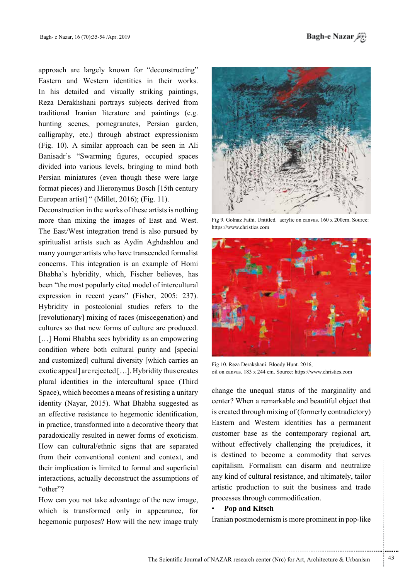approach are largely known for "deconstructing" Eastern and Western identities in their works. In his detailed and visually striking paintings, Reza Derakhshani portrays subjects derived from traditional Iranian literature and paintings (e.g. hunting scenes, pomegranates, Persian garden, calligraphy, etc.) through abstract expressionism  $(Fig. 10)$ . A similar approach can be seen in Ali Banisadr's "Swarming figures, occupied spaces divided into various levels, bringing to mind both Persian miniatures (even though these were large format pieces) and Hieronymus Bosch [15th century] European artist] " (Millet, 2016); (Fig. 11).

Deconstruction in the works of these artists is nothing more than mixing the images of East and West. The East/West integration trend is also pursued by spiritualist artists such as Aydin Aghdashlou and many vounger artists who have transcended formalist concerns. This integration is an example of Homi Bhabha's hybridity, which, Fischer believes, has been "the most popularly cited model of intercultural expression in recent years" (Fisher, 2005: 237). Hybridity in postcolonial studies refers to the [revolutionary] mixing of races (miscegenation) and cultures so that new forms of culture are produced. [...] Homi Bhabha sees hybridity as an empowering condition where both cultural purity and [special] and customized] cultural diversity [which carries an exotic appeal] are rejected  $[...]$ . Hybridity thus creates plural identities in the intercultural space (Third Space), which becomes a means of resisting a unitary identity (Nayar, 2015). What Bhabha suggested as an effective resistance to hegemonic identification, in practice, transformed into a decorative theory that paradoxically resulted in newer forms of exoticism. How can cultural/ethnic signs that are separated from their conventional content and context, and their implication is limited to formal and superficial interactions, actually deconstruct the assumptions of "other"?

How can you not take advantage of the new image, which is transformed only in appearance, for hegemonic purposes? How will the new image truly



Fig 9. Golnaz Fathi. Untitled. acrylic on canvas. 160 x 200cm. Source: https://www.christies.com



Fig 10. Reza Derakshani. Bloody Hunt. 2016, oil on canvas. 183 x 244 cm. Source: https://www.christies.com

change the unequal status of the marginality and center? When a remarkable and beautiful object that is created through mixing of (formerly contradictory) Eastern and Western identities has a permanent customer base as the contemporary regional art, without effectively challenging the prejudices, it is destined to become a commodity that serves capitalism. Formalism can disarm and neutralize any kind of cultural resistance, and ultimately, tailor artistic production to suit the business and trade processes through commodification.

### **Pop and Kitsch**

Iranian postmodernism is more prominent in pop-like

.......... ....... ........ ........... ...... ....... ........ .......... ...........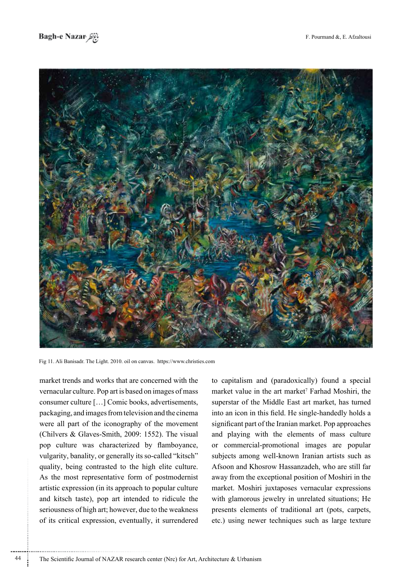



Fig 11. Ali Banisadr. The Light. 2010. oil on canvas. https://www.christies.com

market trends and works that are concerned with the vernacular culture. Pop art is based on images of mass consumer culture [...] Comic books, advertisements, packaging, and images from television and the cinema were all part of the iconography of the movement (Chilvers & Glaves-Smith, 2009: 1552). The visual pop culture was characterized by flamboyance, vulgarity, banality, or generally its so-called "kitsch" quality, being contrasted to the high elite culture. As the most representative form of postmodernist artistic expression (in its approach to popular culture) and kitsch taste), pop art intended to ridicule the seriousness of high art; however, due to the weakness of its critical expression, eventually, it surrendered to capitalism and (paradoxically) found a special market value in the art market<sup>7</sup> Farhad Moshiri, the superstar of the Middle East art market, has turned into an icon in this field. He single-handedly holds a significant part of the Iranian market. Pop approaches and playing with the elements of mass culture or commercial-promotional images are popular subjects among well-known Iranian artists such as Afsoon and Khosrow Hassanzadeh, who are still far away from the exceptional position of Moshiri in the market. Moshiri juxtaposes vernacular expressions with glamorous jewelry in unrelated situations; He presents elements of traditional art (pots, carpets, etc.) using newer techniques such as large texture

The Scientific Journal of NAZAR research center (Nrc) for Art, Architecture & Urbanism

44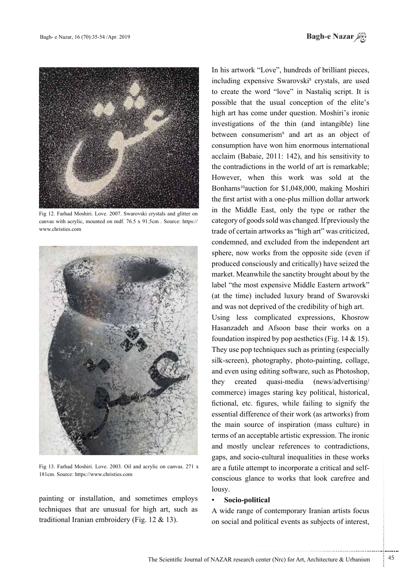

Fig 12. Farhad Moshiri. Love. 2007. Swarovski crystals and glitter on canvas with acrylic, mounted on mdf. 76.5 x 91.5 cm . Source: https:// www.christies.com



Fig 13. Farhad Moshiri. Love. 2003. Oil and acrylic on canvas. 271 x 181cm. Source: https://www.christies.com

painting or installation, and sometimes employs techniques that are unusual for high art, such as traditional Iranian embroidery (Fig.  $12 \& 13$ ).

In his artwork "Love", hundreds of brilliant pieces, including expensive Swarovski<sup>8</sup> crystals, are used to create the word "love" in Nastaliq script. It is possible that the usual conception of the elite's high art has come under question. Moshiri's ironic investigations of the thin (and intangible) line between consumerism<sup>9</sup> and art as an object of consumption have won him enormous international acclaim (Babaie,  $2011$ : 142), and his sensitivity to the contradictions in the world of art is remarkable; However, when this work was sold at the Bonhams<sup>10</sup>auction for \$1,048,000, making Moshiri the first artist with a one-plus million dollar artwork in the Middle East, only the type or rather the category of goods sold was changed. If previously the trade of certain artworks as "high art" was criticized, condemned, and excluded from the independent art sphere, now works from the opposite side (even if produced consciously and critically) have seized the market. Meanwhile the sanctity brought about by the label "the most expensive Middle Eastern artwork" (at the time) included luxury brand of Swarovski and was not deprived of the credibility of high art.

Using less complicated expressions, Khosrow Hasanzadeh and Afsoon base their works on a foundation inspired by pop aesthetics (Fig.  $14 \& 15$ ). They use pop techniques such as printing (especially silk-screen), photography, photo-painting, collage, and even using editing software, such as Photoshop, they created quasi-media (news/advertising/ commerce) images staring key political, historical, fictional, etc. figures, while failing to signify the essential difference of their work (as artworks) from the main source of inspiration (mass culture) in terms of an acceptable artistic expression. The ironic and mostly unclear references to contradictions. gaps, and socio-cultural inequalities in these works conscious glance to works that look carefree and are a futile attempt to incorporate a critical and selflousy.

### **Socio-political**

A wide range of contemporary Iranian artists focus on social and political events as subjects of interest,

.......... ....... ........ ........... ...... ....... ........ .......... ...........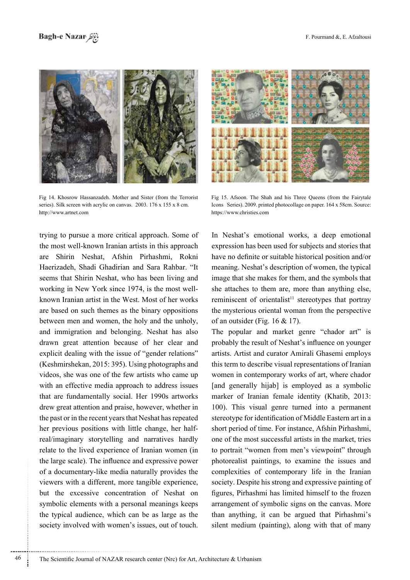

Fig 14. Khosrow Hassanzadeh. Mother and Sister (from the Terrorist series). Silk screen with acrylic on canvas.  $2003$ .  $176 \times 155 \times 8$  cm. http://www.artnet.com

trying to pursue a more critical approach. Some of the most well-known Iranian artists in this approach are Shirin Neshat, Afshin Pirhashmi, Rokni Haerizadeh, Shadi Ghadirian and Sara Rahbar. "It seems that Shirin Neshat, who has been living and known Iranian artist in the West. Most of her works working in New York since 1974, is the most wellare based on such themes as the binary oppositions between men and women, the holy and the unholy, and immigration and belonging. Neshat has also drawn great attention because of her clear and explicit dealing with the issue of "gender relations" (Keshmirshekan, 2015: 395). Using photographs and videos, she was one of the few artists who came up with an effective media approach to address issues that are fundamentally social. Her 1990s artworks drew great attention and praise, however, whether in the past or in the recent years that Neshat has repeated real/imaginary storytelling and narratives hardly her previous positions with little change, her halfrelate to the lived experience of Iranian women (in the large scale). The influence and expressive power of a documentary-like media naturally provides the viewers with a different, more tangible experience, but the excessive concentration of Neshat on symbolic elements with a personal meanings keeps the typical audience, which can be as large as the society involved with women's issues, out of touch.



Fig 15. Afsoon. The Shah and his Three Queens (from the Fairytale Icons Series). 2009. printed photocollage on paper. 164 x 58cm. Source: https://www.christies.com

In Neshat's emotional works, a deep emotional expression has been used for subjects and stories that have no definite or suitable historical position and/or meaning. Neshat's description of women, the typical image that she makes for them, and the symbols that she attaches to them are, more than anything else, reminiscent of orientalist<sup>11</sup> stereotypes that portray the mysterious oriental woman from the perspective of an outsider (Fig.  $16 \& 17$ ).

The popular and market genre "chador art" is probably the result of Neshat's influence on younger artists. Artist and curator Amirali Ghasemi employs this term to describe visual representations of Iranian women in contemporary works of art, where chador [and generally hijab] is employed as a symbolic marker of Iranian female identity (Khatib, 2013; 100). This visual genre turned into a permanent stereotype for identification of Middle Eastern art in a short period of time. For instance, Afshin Pirhashmi, one of the most successful artists in the market, tries to portrait "women from men's viewpoint" through photorealist paintings, to examine the issues and complexities of contemporary life in the Iranian society. Despite his strong and expressive painting of figures, Pirhashmi has limited himself to the frozen arrangement of symbolic signs on the canvas. More than anything, it can be argued that Pirhashmi's silent medium (painting), along with that of many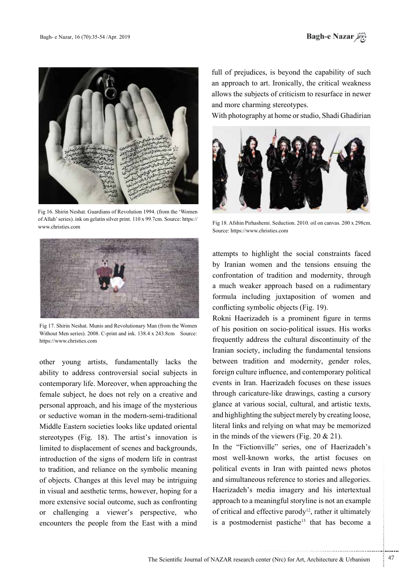

Fig 16. Shirin Neshat. Guardians of Revolution 1994. (from the 'Women of Allah' series). ink on gelatin silver print. 110 x 99.7 cm. Source: https:// www.christies.com



Fig 17. Shirin Neshat. Munis and Revolutionary Man (from the Women Without Men series). 2008. C-print and ink. 138.4 x 243.8 cm Source: https://www.christies.com

other young artists, fundamentally lacks the ability to address controversial social subjects in contemporary life. Moreover, when approaching the female subject, he does not rely on a creative and personal approach, and his image of the mysterious or seductive woman in the modern-semi-traditional Middle Eastern societies looks like updated oriental stereotypes (Fig. 18). The artist's innovation is limited to displacement of scenes and backgrounds, introduction of the signs of modern life in contrast to tradition, and reliance on the symbolic meaning of objects. Changes at this level may be intriguing in visual and aesthetic terms, however, hoping for a more extensive social outcome, such as confronting or challenging a viewer's perspective, who encounters the people from the East with a mind full of prejudices, is beyond the capability of such an approach to art. Ironically, the critical weakness allows the subjects of criticism to resurface in newer and more charming stereotypes.

With photography at home or studio, Shadi Ghadirian



Fig 18. Afshin Pirhashemi. Seduction. 2010. oil on canvas. 200 x 298cm. Source: https://www.christies.com

attempts to highlight the social constraints faced by Iranian women and the tensions ensuing the confrontation of tradition and modernity, through a much weaker approach based on a rudimentary formula including juxtaposition of women and conflicting symbolic objects (Fig. 19).

Rokni Haerizadeh is a prominent figure in terms of his position on socio-political issues. His works frequently address the cultural discontinuity of the Iranian society, including the fundamental tensions between tradition and modernity, gender roles, foreign culture influence, and contemporary political events in Iran. Haerizadeh focuses on these issues through caricature-like drawings, casting a cursory glance at various social, cultural, and artistic texts, and highlighting the subject merely by creating loose, literal links and relying on what may be memorized in the minds of the viewers (Fig.  $20 \& 21$ ).

In the "Fictionville" series, one of Haerizadeh's most well-known works, the artist focuses on political events in Iran with painted news photos and simultaneous reference to stories and allegories. Haerizadeh's media imagery and his intertextual approach to a meaningful storyline is not an example of critical and effective parody<sup>12</sup>, rather it ultimately is a postmodernist pastiche<sup>13</sup> that has become a

.......... ....... ........ ........... ...... ....... ........ .......... ...........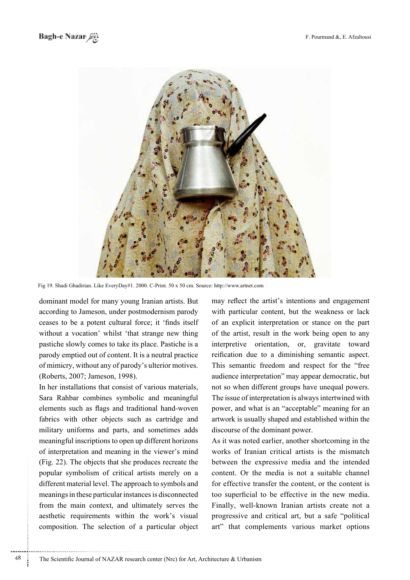

Fig 19. Shadi Ghadirian. Like EveryDay#1. 2000. C-Print. 50 x 50 cm. Source: http://www.artnet.com

dominant model for many young Iranian artists. But according to Jameson, under postmodernism parody ceases to be a potent cultural force; it 'finds itself without a vocation' whilst 'that strange new thing pastiche slowly comes to take its place. Pastiche is a parody emptied out of content. It is a neutral practice of mimicry, without any of parody's ulterior motives. (Roberts, 2007; Jameson, 1998).

In her installations that consist of various materials, Sara Rahbar combines symbolic and meaningful elements such as flags and traditional hand-woven fabrics with other objects such as cartridge and military uniforms and parts, and sometimes adds meaningful inscriptions to open up different horizons of interpretation and meaning in the viewer's mind (Fig. 22). The objects that she produces recreate the popular symbolism of critical artists merely on a different material level. The approach to symbols and meanings in these particular instances is disconnected from the main context, and ultimately serves the aesthetic requirements within the work's visual composition. The selection of a particular object may reflect the artist's intentions and engagement with particular content, but the weakness or lack of an explicit interpretation or stance on the part of the artist, result in the work being open to any interpretive orientation, or, gravitate toward reification due to a diminishing semantic aspect. This semantic freedom and respect for the "free audience interpretation" may appear democratic, but not so when different groups have unequal powers. The issue of interpretation is always intertwined with power, and what is an "acceptable" meaning for an artwork is usually shaped and established within the discourse of the dominant power.

As it was noted earlier, another shortcoming in the works of Iranian critical artists is the mismatch between the expressive media and the intended content. Or the media is not a suitable channel for effective transfer the content, or the content is too superficial to be effective in the new media. Finally, well-known Iranian artists create not a progressive and critical art, but a safe "political art" that complements various market options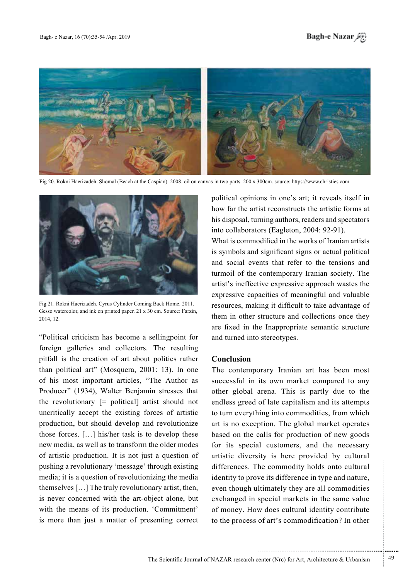



Fig 20. Rokni Haerizadeh. Shomal (Beach at the Caspian). 2008. oil on canvas in two parts. 200 x 300cm. source: https://www.christies.com



Fig 21. Rokni Haerizadeh. Cyrus Cylinder Coming Back Home. 2011. Gesso watercolor, and ink on printed paper. 21 x 30 cm. Source: Farzin, 2014, 12

"Political criticism has become a sellingpoint for foreign galleries and collectors. The resulting pitfall is the creation of art about politics rather than political art" (Mosquera, 2001: 13). In one of his most important articles, "The Author as Producer" (1934), Walter Benjamin stresses that the revolutionary  $[=$  political artist should not uncritically accept the existing forces of artistic production, but should develop and revolutionize those forces.  $[\dots]$  his/her task is to develop these new media, as well as to transform the older modes of artistic production. It is not just a question of pushing a revolutionary 'message' through existing media; it is a question of revolutionizing the media themselves  $[...]$  The truly revolutionary artist, then, is never concerned with the art-object alone, but with the means of its production. 'Commitment' is more than just a matter of presenting correct political opinions in one's art; it reveals itself in how far the artist reconstructs the artistic forms at his disposal, turning authors, readers and spectators into collaborators (Eagleton, 2004: 92-91).

What is commodified in the works of Iranian artists is symbols and significant signs or actual political and social events that refer to the tensions and turmoil of the contemporary Iranian society. The artist's ineffective expressive approach wastes the expressive capacities of meaningful and valuable resources, making it difficult to take advantage of them in other structure and collections once they are fixed in the Inappropriate semantic structure and turned into stereotypes.

## **Conclusion**

The contemporary Iranian art has been most successful in its own market compared to any other global arena. This is partly due to the endless greed of late capitalism and its attempts to turn everything into commodities, from which art is no exception. The global market operates based on the calls for production of new goods for its special customers, and the necessary artistic diversity is here provided by cultural differences. The commodity holds onto cultural identity to prove its difference in type and nature, even though ultimately they are all commodities exchanged in special markets in the same value of money. How does cultural identity contribute to the process of art's commodification? In other

.......... ....... ........ ........... ...... ....... ........ .......... ...........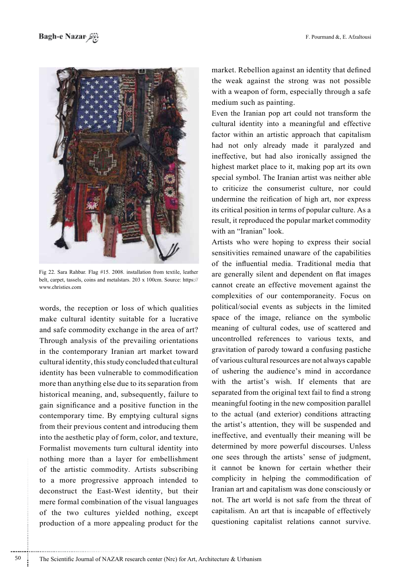

Fig 22. Sara Rahbar. Flag #15. 2008. installation from textile, leather belt, carpet, tassels, coins and metalstars. 203 x 100cm. Source: https:// www.christies.com

words, the reception or loss of which qualities make cultural identity suitable for a lucrative and safe commodity exchange in the area of art? Through analysis of the prevailing orientations in the contemporary Iranian art market toward cultural identity, this study concluded that cultural identity has been vulnerable to commodification more than anything else due to its separation from historical meaning, and, subsequently, failure to gain significance and a positive function in the contemporary time. By emptying cultural signs from their previous content and introducing them into the aesthetic play of form, color, and texture, Formalist movements turn cultural identity into nothing more than a layer for embellishment of the artistic commodity. Artists subscribing to a more progressive approach intended to deconstruct the East-West identity, but their mere formal combination of the visual languages of the two cultures yielded nothing, except production of a more appealing product for the

market. Rebellion against an identity that defined the weak against the strong was not possible with a weapon of form, especially through a safe medium such as painting.

Even the Iranian pop art could not transform the cultural identity into a meaningful and effective factor within an artistic approach that capitalism had not only already made it paralyzed and ineffective, but had also ironically assigned the highest market place to it, making pop art its own special symbol. The Iranian artist was neither able to criticize the consumerist culture, nor could undermine the reification of high art, nor express its critical position in terms of popular culture. As a result, it reproduced the popular market commodity with an "Iranian" look.

Artists who were hoping to express their social sensitivities remained unaware of the capabilities of the influential media. Traditional media that are generally silent and dependent on flat images cannot create an effective movement against the complexities of our contemporaneity. Focus on political/social events as subjects in the limited space of the image, reliance on the symbolic meaning of cultural codes, use of scattered and uncontrolled references to various texts, and gravitation of parody toward a confusing pastiche of various cultural resources are not always capable of ushering the audience's mind in accordance with the artist's wish. If elements that are separated from the original text fail to find a strong meaningful footing in the new composition parallel to the actual (and exterior) conditions attracting the artist's attention, they will be suspended and ineffective, and eventually their meaning will be determined by more powerful discourses. Unless one sees through the artists' sense of judgment, it cannot be known for certain whether their complicity in helping the commodification of Iranian art and capitalism was done consciously or not. The art world is not safe from the threat of capitalism. An art that is incapable of effectively questioning capitalist relations cannot survive.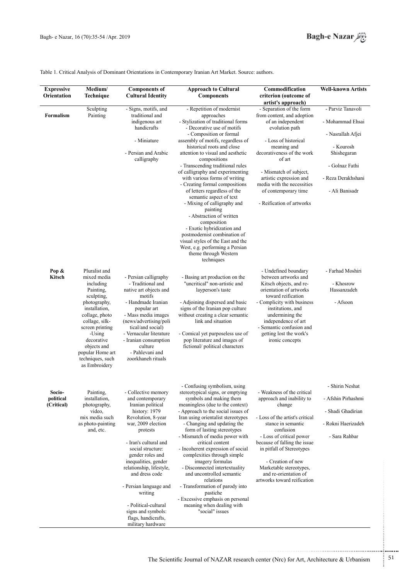

### Table 1. Critical Analysis of Dominant Orientations in Contemporary Iranian Art Market. Source: authors.

| <b>Expressive</b><br>Orientation | Medium/<br>Technique                                              | <b>Components of</b><br><b>Cultural Identity</b>                                   | <b>Approach to Cultural</b><br><b>Components</b>                                                                               | Commodification<br>criterion (outcome of                                                  | Well-known Artists       |
|----------------------------------|-------------------------------------------------------------------|------------------------------------------------------------------------------------|--------------------------------------------------------------------------------------------------------------------------------|-------------------------------------------------------------------------------------------|--------------------------|
|                                  |                                                                   |                                                                                    |                                                                                                                                | artist's approach)                                                                        |                          |
| Formalism                        | Sculpting<br>Painting                                             | - Signs, motifs, and<br>traditional and                                            | - Repetition of modernist<br>approaches                                                                                        | - Separation of the form<br>from content, and adoption                                    | - Parviz Tanavoli        |
|                                  |                                                                   | indigenous art<br>handicrafts                                                      | - Stylization of traditional forms<br>- Decorative use of motifs                                                               | of an independent<br>evolution path                                                       | - Mohammad Ehsai         |
|                                  |                                                                   | - Miniature                                                                        | - Composition or formal<br>assembly of motifs, regardless of                                                                   | - Loss of historical                                                                      | - Nasrallah Afjei        |
|                                  |                                                                   | - Persian and Arabic                                                               | historical roots and close<br>attention to visual and aesthetic                                                                | meaning and<br>decorativeness of the work                                                 | - Kourosh<br>Shishegaran |
|                                  |                                                                   | calligraphy                                                                        | compositions<br>- Transcending traditional rules                                                                               | of art                                                                                    | - Golnaz Fathi           |
|                                  |                                                                   |                                                                                    | of calligraphy and experimenting<br>with various forms of writing                                                              | - Mismatch of subject,<br>artistic expression and                                         | - Reza Derakhshani       |
|                                  |                                                                   |                                                                                    | - Creating formal compositions<br>of letters regardless of the<br>semantic aspect of text                                      | media with the necessities<br>of contemporary time                                        | - Ali Banisadr           |
|                                  |                                                                   |                                                                                    | - Mixing of calligraphy and<br>painting                                                                                        | - Reification of artworks                                                                 |                          |
|                                  |                                                                   |                                                                                    | - Abstraction of written<br>composition                                                                                        |                                                                                           |                          |
|                                  |                                                                   |                                                                                    | - Exotic hybridization and<br>postmodernist combination of                                                                     |                                                                                           |                          |
|                                  |                                                                   |                                                                                    | visual styles of the East and the<br>West, e.g. performing a Persian                                                           |                                                                                           |                          |
|                                  |                                                                   |                                                                                    | theme through Western<br>techniques                                                                                            |                                                                                           |                          |
| Pop &                            | Pluralist and                                                     |                                                                                    |                                                                                                                                | - Undefined boundary                                                                      | - Farhad Moshiri         |
| Kitsch                           | mixed media<br>including                                          | - Persian calligraphy<br>- Traditional and                                         | - Basing art production on the<br>"uncritical" non-artistic and                                                                | between artworks and<br>Kitsch objects, and re-                                           | - Khosrow                |
|                                  | Painting,<br>sculpting,                                           | native art objects and<br>motifs                                                   | layperson's taste                                                                                                              | orientation of artworks<br>toward reification                                             | Hassanzadeh              |
|                                  | photography,<br>installation,<br>collage, photo<br>collage, silk- | - Handmade Iranian<br>popular art<br>- Mass media images<br>(news/advertising/poli | - Adjoining dispersed and basic<br>signs of the Iranian pop culture<br>without creating a clear semantic<br>link and situation | - Complicity with business<br>institutions, and<br>undermining the<br>independence of art | - Afsoon                 |
|                                  | screen printing<br>-Using                                         | tical/and social)<br>- Vernacular literature                                       | - Comical yet purposeless use of                                                                                               | - Semantic confusion and<br>getting lost the work's                                       |                          |
|                                  | decorative<br>objects and                                         | - Iranian consumption<br>culture                                                   | pop literature and images of<br>fictional/political characters                                                                 | ironic concepts                                                                           |                          |
|                                  | popular Home art<br>techniques, such<br>as Embroidery             | - Pahlevani and<br>zoorkhaneh rituals                                              |                                                                                                                                |                                                                                           |                          |
|                                  |                                                                   |                                                                                    | - Confusing symbolism, using                                                                                                   |                                                                                           | - Shirin Neshat          |
| Socio-<br>political              | Painting,<br>installation,                                        | - Collective memory<br>and contemporary                                            | stereotypical signs, or emptying<br>symbols and making them                                                                    | - Weakness of the critical<br>approach and inability to                                   | - Afshin Pirhashmi       |
| (Critical)                       | photography,<br>video,                                            | Iranian political<br>history: 1979                                                 | meaningless (due to the context)<br>- Approach to the social issues of                                                         | change                                                                                    | - Shadi Ghadirian        |
|                                  | mix media such<br>as photo-painting<br>and, etc.                  | Revolution, 8-year<br>war, 2009 election<br>protests                               | Iran using orientalist stereotypes<br>- Changing and updating the                                                              | - Loss of the artist's critical<br>stance in semantic<br>confusion                        | - Rokni Haerizadeh       |
|                                  |                                                                   |                                                                                    | form of lasting stereotypes<br>- Mismatch of media power with<br>critical content                                              | - Loss of critical power                                                                  | - Sara Rahbar            |
|                                  |                                                                   | - Iran's cultural and<br>social structure:<br>gender roles and                     | - Incoherent expression of social<br>complexities through simple                                                               | because of falling the issue<br>in pitfall of Stereotypes                                 |                          |
|                                  |                                                                   | inequalities, gender<br>relationship, lifestyle,                                   | imagery formulas<br>- Disconnected intertextuality                                                                             | - Creation of new<br>Marketable stereotypes,                                              |                          |
|                                  |                                                                   | and dress code                                                                     | and uncontrolled semantic<br>relations                                                                                         | and re-orientation of<br>artworks toward reification                                      |                          |
|                                  |                                                                   | - Persian language and<br>writing                                                  | - Transformation of parody into<br>pastiche                                                                                    |                                                                                           |                          |
|                                  |                                                                   | - Political-cultural                                                               | - Excessive emphasis on personal<br>meaning when dealing with                                                                  |                                                                                           |                          |
|                                  |                                                                   | signs and symbols:<br>flags, handicrafts,<br>military hardware                     | "social" issues                                                                                                                |                                                                                           |                          |

...........................................................

.......... ....... ........ ........... ...... ....... ........ .......... ...........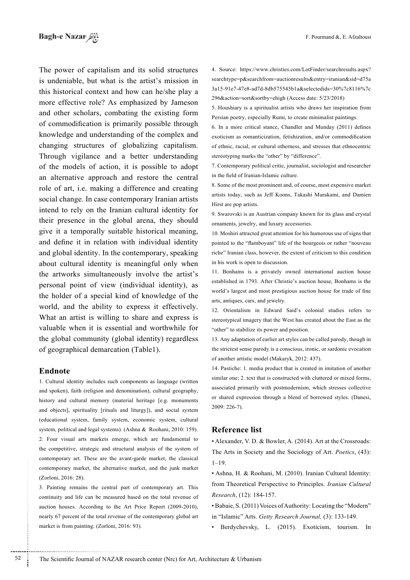The power of capitalism and its solid structures is undeniable, but what is the artist's mission in this historical context and how can he/she play a more effective role? As emphasized by Jameson and other scholars, combating the existing form of commodification is primarily possible through knowledge and understanding of the complex and changing structures of globalizing capitalism. Through vigilance and a better understanding of the models of action, it is possible to adopt an alternative approach and restore the central role of art, i.e. making a difference and creating social change. In case contemporary Iranian artists intend to rely on the Iranian cultural identity for their presence in the global arena, they should give it a temporally suitable historical meaning, and define it in relation with individual identity and global identity. In the contemporary, speaking about cultural identity is meaningful only when the artworks simultaneously involve the artist's personal point of view (individual identity), as the holder of a special kind of knowledge of the world, and the ability to express it effectively. What an artist is willing to share and express is valuable when it is essential and worthwhile for the global community (global identity) regardless of geographical demarcation (Table1).

### Endnote

52

1. Cultural identity includes such components as language (written) and spoken), faith (religion and denomination), cultural geography, history and cultural memory (material heritage [e.g. monuments] and objects], spirituality [rituals and liturgy]), and social system (educational system, family system, economic system, cultural system, political and legal systems). (Ashna & Roohani, 2010: 159). 2. Four visual arts markets emerge, which are fundamental to the competitive, strategic and structural analysis of the system of contemporary art. These are the avant-garde market, the classical contemporary market, the alternative market, and the junk market (Zorloni, 2016: 28).

3. Painting remains the central part of contemporary art. This continuity and life can be measured based on the total revenue of auction houses. According to the Art Price Report (2009-2010), nearly 67 percent of the total revenue of the contemporary global art market is from painting. (Zorloni, 2016: 93).

4. Source: https://www.christies.com/LotFinder/searchresults.aspx? searchtype=p&searchfrom=auctionresults&entry=iranian&sid=d75a 3a15-91e7-47e8-ad7d-8db575545b1a&selectedids=30%7c8116%7c 296&action=sort&sortby=ehigh (Access date: 5/23/2018)

5. Houshiary is a spiritualist artists who draws her inspiration from Persian poetry, especially Rumi, to create minimalist paintings.

6. In a more critical stance, Chandler and Munday (2011) defines exoticism as romanticization, fetishization, and/or commodification of ethnic, racial, or cultural otherness, and stresses that ethnocentric stereotyping marks the "other" by "difference".

7. Contemporary political critic, journalist, sociologist and researcher in the field of Iranian-Islamic culture.

8. Some of the most prominent and, of course, most expensive market artists today, such as Jeff Koons, Takashi Murakami, and Damien Hirst are pop artists.

9. Swarovski is an Austrian company known for its glass and crystal ornaments, jewelry, and luxury accessories.

10. Moshiri attracted great attention for his humorous use of signs that pointed to the "flamboyant" life of the bourgeois or rather "nouveau riche" Iranian class, however, the extent of criticism to this condition in his work is open to discussion.

11. Bonhams is a privately owned international auction house established in 1793. After Christie's auction house, Bonhams is the world's largest and most prestigious auction house for trade of fine arts, antiques, cars, and jewelry.

12. Orientalism in Edward Said's colonial studies refers to stereotypical imagery that the West has created about the East as the "other" to stabilize its power and position.

13. Any adaptation of earlier art styles can be called parody, though in the strictest sense parody is a conscious, ironic, or sardonic evocation of another artistic model (Makaryk, 2012: 437).

14. Pastiche: 1. media product that is created in imitation of another similar one; 2. text that is constructed with cluttered or mixed forms, associated primarily with postmodernism, which stresses collective or shared expression through a blend of borrowed styles. (Danesi,  $2009: 226-7$ ).

### **Reference list**

• Alexander, V. D. & Bowler, A. (2014). Art at the Crossroads: The Arts in Society and the Sociology of Art. Poetics, (43):  $1 - 19$ .

· Ashna, H. & Roohani, M. (2010). Iranian Cultural Identity: from Theoretical Perspective to Principles. Iranian Cultural Research. (12): 184-157.

• Babaie, S. (2011) Voices of Authority: Locating the "Modern" in "Islamic" Arts. Getty Research Journal, (3): 133-149.

Berdychevsky, L. (2015). Exoticism, tourism. In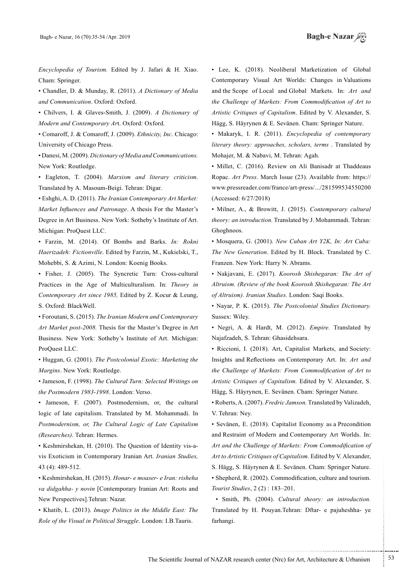Encyclopedia of Tourism. Edited by J. Jafari & H. Xiao. Cham: Springer.

• Chandler, D. & Munday, R. (2011). *A Dictionary of Media* .Oxford :Oxford .*Communication and*

• Chilvers, I. & Glaves-Smith, J. (2009). *A Dictionary of* Modern and Contemporary Art. Oxford: Oxford.

 $\bullet$  Comaroff, J. & Comaroff, J. (2009). Ethnicity, Inc. Chicago: University of Chicago Press.

 $\cdot$  Danesi, M. (2009). *Dictionary of Media and Communications*. New York: Routledge.

• Eagleton, T. (2004). Marxism and literary criticism. Translated by A. Masoum-Beigi. Tehran: Digar.

• Eshghi, A. D. (2011). The Iranian Contemporary Art Market: Market Influences and Patronage. A thesis For the Master's Degree in Art Business. New York: Sotheby's Institute of Art. Michigan: ProQuest LLC.

• Farzin, M. (2014). Of Bombs and Barks. *In: Rokni* Haerizadeh: Fictionville. Edited by Farzin, M., Kukielski, T., Mohebbi, S. & Azimi, N. London: Koenig Books.

• Fisher, J. (2005). The Syncretic Turn: Cross-cultural Practices in the Age of Multiculturalism. In: *Theory in* Contemporary Art since 1985, Edited by Z. Kocur & Leung, S. Oxford: BlackWell.

• Foroutani, S. (2015). *The Iranian Modern and Contemporary* Art Market post-2008. Thesis for the Master's Degree in Art Business. New York: Sotheby's Institute of Art. Michigan: ProQuest LLC.

• Huggan, G. (2001). The Postcolonial Exotic: Marketing the Margins. New York: Routledge.

• Jameson, F. (1998). The Cultural Turn: Selected Writings on the Postmodern 1983-1998. London: Verso.

• Jameson, F. (2007). Postmodernism, or, the cultural logic of late capitalism. Translated by M. Mohammadi. In Postmodernism, or, The Cultural Logic of Late Capitalism (Researches). Tehran: Hermes.

vis Exoticism in Contemporary Iranian Art. *Iranian Studies*, • Keshmirshekan, H. (2010). The Question of Identity vis-a-43 (4): 489-512.

• Keshmirshekan, H. (2015). Honar- e moaser- e Iran: risheha va didgahha- y novin [Contemporary Iranian Art: Roots and New Perspectives].Tehran: Nazar.

• Khatib, L. (2013). *Image Politics in the Middle East: The* Role of the Visual in Political Struggle. London: I.B.Tauris.

• Lee, K. (2018). Neoliberal Marketization of Global Contemporary Visual Art Worlds: Changes in Valuations and the Scope of Local and Global Markets. In: Art and *the Challenge of Markets: From Commodification of Art to* Artistic Critiques of Capitalism. Edited by V. Alexander, S. Hägg, S. Häyrynen & E. Sevänen. Cham: Springer Nature.

• Makaryk, I. R. (2011). *Encyclopedia of contemporary* literary theory: approaches, scholars, terms . Translated by Mohajer, M. & Nabavi, M. Tehran: Agah.

• Millet, C. (2016). Review on Ali Banisadr at Thaddeaus Ropac. Art Press. March Issue (23). Available from: https:// www.pressreader.com/france/art-press/.../281599534550200 (Accessed: 6/27/2018)

• Milner, A., & Browitt, J. (2015). Contemporary cultural theory: an introduction. Translated by J. Mohammadi. Tehran: .Ghoghnoos

**• Mosquera, G. (2001).** New Cuban Art Y2K, In: Art Cuba: The New Generation. Edited by H. Block. Translated by C. Franzen. New York: Harry N. Abrams.

• Nakjavani, E. (2017). *Koorosh Shishegaran: The Art of* Altruism. (Review of the book Koorosh Shishegaran: The Art of Altruism). Iranian Studies. London: Saqi Books.

• Nayar, P. K. (2015). The Postcolonial Studies Dictionary. Sussex: Wiley.

• Negri, A. & Hardt, M. (2012). *Empire*. Translated by Najafzadeh, S. Tehran: Ghasidehsara.

• Riccioni, I. (2018). Art, Capitalist Markets, and Society: Insights and Reflections on Contemporary Art. In: Art and *the Challenge of Markets: From Commodification of Art to* Artistic Critiques of Capitalism. Edited by V. Alexander, S. Hägg, S. Häyrynen, E. Sevänen. Cham: Springer Nature.

• Roberts, A. (2007). Fredric Jamson. Translated by Valizadeh, V. Tehran: Ney.

• Sevänen, E. (2018). Capitalist Economy as a Precondition and Restraint of Modern and Contemporary Art Worlds. In: Art and the Challenge of Markets: From Commodification of Art to Artistic Critiques of Capitalism. Edited by V. Alexander, S. Hägg, S. Häyrynen & E. Sevänen. Cham: Springer Nature. • Shepherd, R. (2002). Commodification, culture and tourism. *Tourist Studies*, 2(2): 183-201.

• Smith, Ph. (2004). *Cultural theory: an introduction*. Translated by H. Pouyan Tehran: Dftar- e pajuheshha- ye .farhangi

.......... ....... ........ ........... ...... ....... ........ .......... ...........

The Scientific Journal of NAZAR research center (Nrc) for Art, Architecture & Urbanism  $\frac{53}{53}$